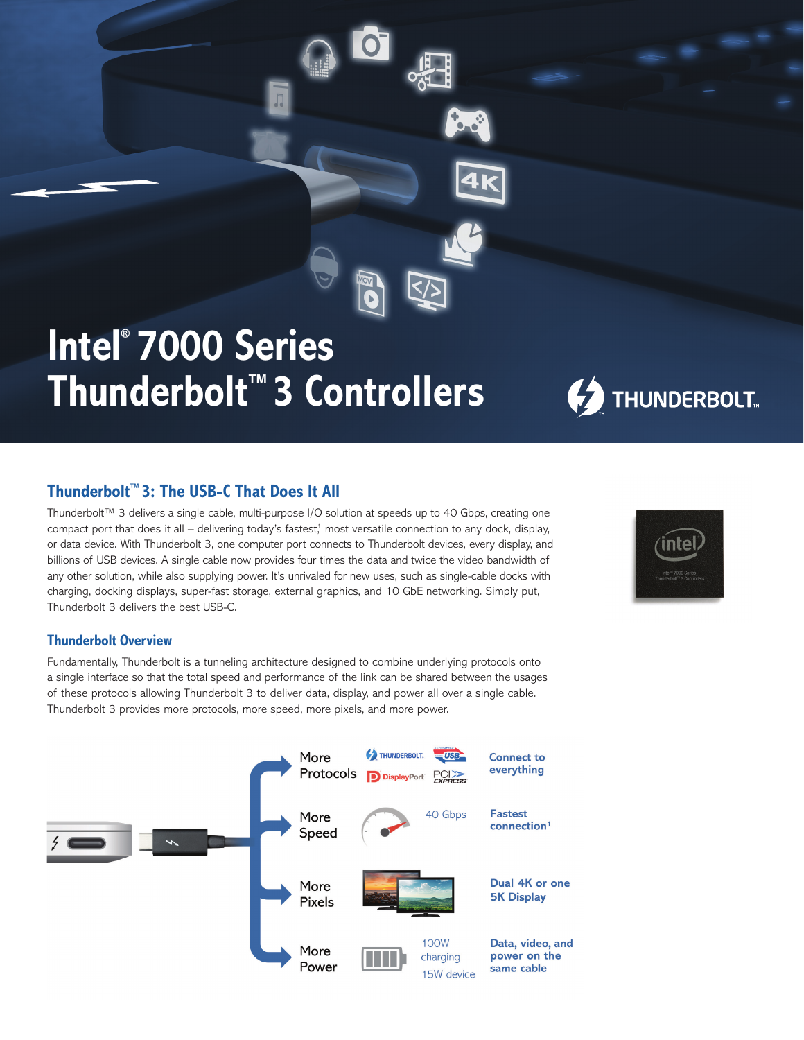# **Intel® 7000 Series Thunderbolt™ 3 Controllers**



### **Thunderbolt™ 3: The USB-C That Does It All**

Thunderbolt™ 3 delivers a single cable, multi-purpose I/O solution at speeds up to 40 Gbps, creating one compact port that does it all – delivering today's fastest, $1$  most versatile connection to any dock, display, or data device. With Thunderbolt 3, one computer port connects to Thunderbolt devices, every display, and billions of USB devices. A single cable now provides four times the data and twice the video bandwidth of any other solution, while also supplying power. It's unrivaled for new uses, such as single-cable docks with charging, docking displays, super-fast storage, external graphics, and 10 GbE networking. Simply put, Thunderbolt 3 delivers the best USB-C.



Fundamentally, Thunderbolt is a tunneling architecture designed to combine underlying protocols onto a single interface so that the total speed and performance of the link can be shared between the usages of these protocols allowing Thunderbolt 3 to deliver data, display, and power all over a single cable. Thunderbolt 3 provides more protocols, more speed, more pixels, and more power.

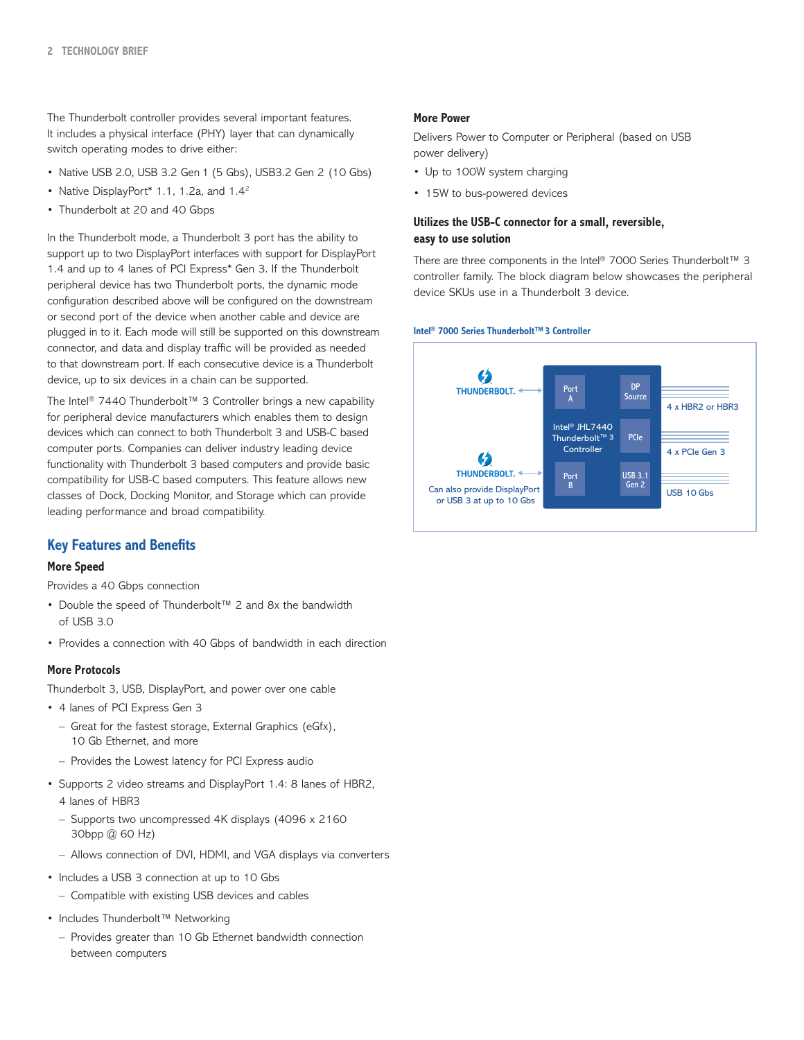The Thunderbolt controller provides several important features. It includes a physical interface (PHY) layer that can dynamically switch operating modes to drive either:

- Native USB 2.0, USB 3.2 Gen 1 (5 Gbs), USB3.2 Gen 2 (10 Gbs)
- Native DisplayPort\* 1.1, 1.2a, and 1.4<sup>2</sup>
- Thunderbolt at 20 and 40 Gbps

In the Thunderbolt mode, a Thunderbolt 3 port has the ability to support up to two DisplayPort interfaces with support for DisplayPort 1.4 and up to 4 lanes of PCI Express\* Gen 3. If the Thunderbolt peripheral device has two Thunderbolt ports, the dynamic mode configuration described above will be configured on the downstream or second port of the device when another cable and device are plugged in to it. Each mode will still be supported on this downstream connector, and data and display traffic will be provided as needed to that downstream port. If each consecutive device is a Thunderbolt device, up to six devices in a chain can be supported.

The Intel® 7440 Thunderbolt™ 3 Controller brings a new capability for peripheral device manufacturers which enables them to design devices which can connect to both Thunderbolt 3 and USB-C based computer ports. Companies can deliver industry leading device functionality with Thunderbolt 3 based computers and provide basic compatibility for USB-C based computers. This feature allows new classes of Dock, Docking Monitor, and Storage which can provide leading performance and broad compatibility.

#### **Key Features and Benefits**

#### **More Speed**

Provides a 40 Gbps connection

- Double the speed of Thunderbolt™ 2 and 8x the bandwidth of USB 3.0
- Provides a connection with 40 Gbps of bandwidth in each direction

#### **More Protocols**

Thunderbolt 3, USB, DisplayPort, and power over one cable

- 4 lanes of PCI Express Gen 3
	- Great for the fastest storage, External Graphics (eGfx), 10 Gb Ethernet, and more
	- Provides the Lowest latency for PCI Express audio
- Supports 2 video streams and DisplayPort 1.4: 8 lanes of HBR2, 4 lanes of HBR3
	- Supports two uncompressed 4K displays (4096 x 2160 30bpp @ 60 Hz)
	- Allows connection of DVI, HDMI, and VGA displays via converters
- Includes a USB 3 connection at up to 10 Gbs
	- Compatible with existing USB devices and cables
- Includes Thunderbolt™ Networking
	- Provides greater than 10 Gb Ethernet bandwidth connection between computers

#### **More Power**

Delivers Power to Computer or Peripheral (based on USB power delivery)

- Up to 100W system charging
- 15W to bus-powered devices

#### **Utilizes the USB-C connector for a small, reversible, easy to use solution**

There are three components in the Intel® 7000 Series Thunderbolt™ 3 controller family. The block diagram below showcases the peripheral device SKUs use in a Thunderbolt 3 device.



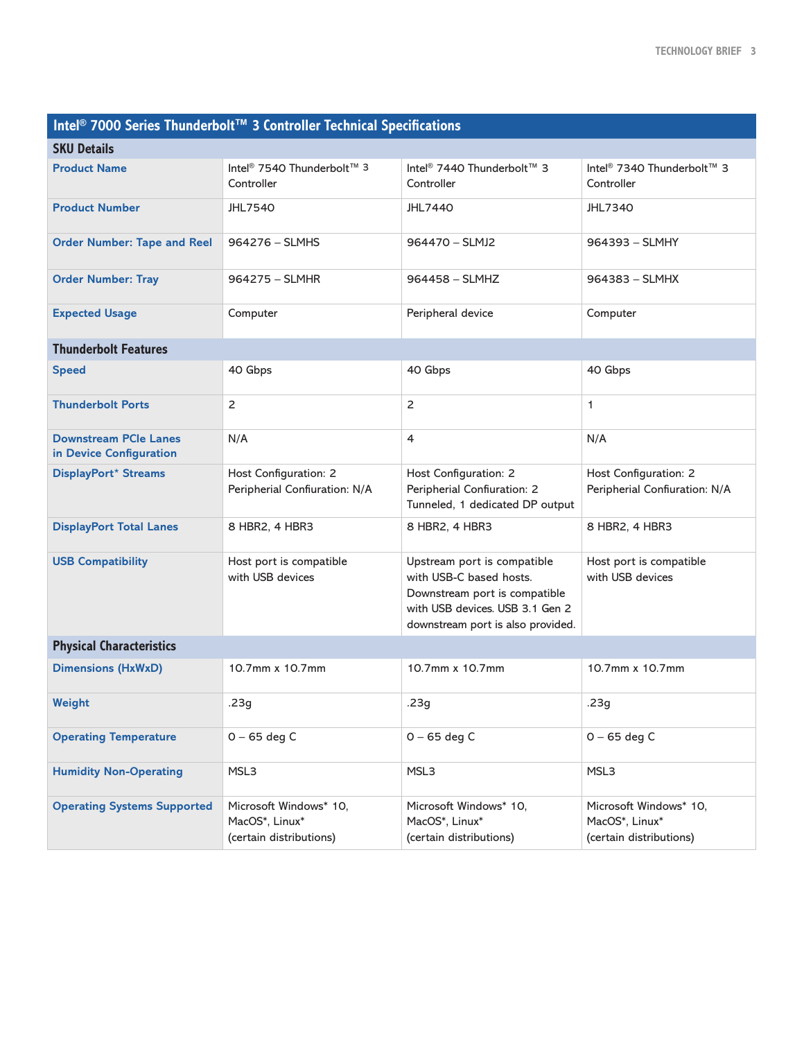| Intel <sup>®</sup> 7000 Series Thunderbolt™ 3 Controller Technical Specifications |                                                                     |                                                                                                                                                                 |                                                                     |
|-----------------------------------------------------------------------------------|---------------------------------------------------------------------|-----------------------------------------------------------------------------------------------------------------------------------------------------------------|---------------------------------------------------------------------|
| <b>SKU Details</b>                                                                |                                                                     |                                                                                                                                                                 |                                                                     |
| <b>Product Name</b>                                                               | Intel <sup>®</sup> 7540 Thunderbolt™ 3<br>Controller                | Intel <sup>®</sup> 7440 Thunderbolt™ 3<br>Controller                                                                                                            | Intel <sup>®</sup> 7340 Thunderbolt™ 3<br>Controller                |
| <b>Product Number</b>                                                             | <b>JHL7540</b>                                                      | <b>JHL7440</b>                                                                                                                                                  | <b>JHL7340</b>                                                      |
| <b>Order Number: Tape and Reel</b>                                                | $964276 - SLMHS$                                                    | 964470 - SLMJ2                                                                                                                                                  | 964393 - SLMHY                                                      |
| <b>Order Number: Tray</b>                                                         | 964275 - SLMHR                                                      | 964458 - SLMHZ                                                                                                                                                  | 964383 - SLMHX                                                      |
| <b>Expected Usage</b>                                                             | Computer                                                            | Peripheral device                                                                                                                                               | Computer                                                            |
| <b>Thunderbolt Features</b>                                                       |                                                                     |                                                                                                                                                                 |                                                                     |
| <b>Speed</b>                                                                      | 40 Gbps                                                             | 40 Gbps                                                                                                                                                         | 40 Gbps                                                             |
| <b>Thunderbolt Ports</b>                                                          | $\overline{2}$                                                      | $\overline{2}$                                                                                                                                                  | $\mathbf{1}$                                                        |
| <b>Downstream PCIe Lanes</b><br>in Device Configuration                           | N/A                                                                 | 4                                                                                                                                                               | N/A                                                                 |
| DisplayPort* Streams                                                              | Host Configuration: 2<br>Peripherial Confiuration: N/A              | Host Configuration: 2<br>Peripherial Confiuration: 2<br>Tunneled, 1 dedicated DP output                                                                         | Host Configuration: 2<br>Peripherial Confiuration: N/A              |
| <b>DisplayPort Total Lanes</b>                                                    | 8 HBR2, 4 HBR3                                                      | 8 HBR2, 4 HBR3                                                                                                                                                  | 8 HBR2, 4 HBR3                                                      |
| <b>USB Compatibility</b>                                                          | Host port is compatible<br>with USB devices                         | Upstream port is compatible<br>with USB-C based hosts.<br>Downstream port is compatible<br>with USB devices. USB 3.1 Gen 2<br>downstream port is also provided. | Host port is compatible<br>with USB devices                         |
| <b>Physical Characteristics</b>                                                   |                                                                     |                                                                                                                                                                 |                                                                     |
| <b>Dimensions (HxWxD)</b>                                                         | 10.7mm x 10.7mm                                                     | 10.7mm x 10.7mm                                                                                                                                                 | 10.7mm x 10.7mm                                                     |
| Weight                                                                            | .23g                                                                | .23g                                                                                                                                                            | .23g                                                                |
| <b>Operating Temperature</b>                                                      | $0 - 65$ deg C                                                      | $0 - 65$ deg C                                                                                                                                                  | $0 - 65$ deg C                                                      |
| <b>Humidity Non-Operating</b>                                                     | MSL3                                                                | MSL3                                                                                                                                                            | MSL3                                                                |
| <b>Operating Systems Supported</b>                                                | Microsoft Windows* 10.<br>MacOS*, Linux*<br>(certain distributions) | Microsoft Windows* 10,<br>MacOS*, Linux*<br>(certain distributions)                                                                                             | Microsoft Windows* 10,<br>MacOS*, Linux*<br>(certain distributions) |